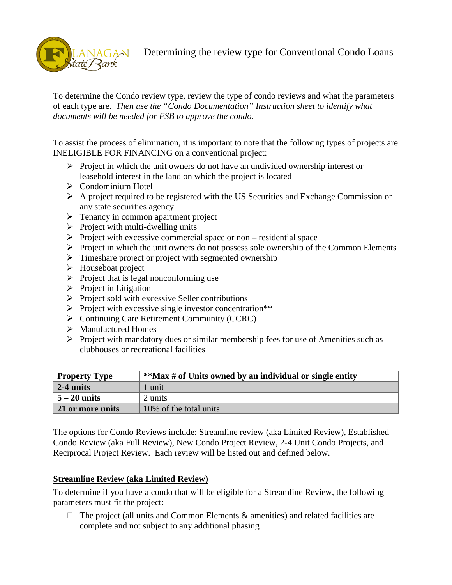

## Determining the review type for Conventional Condo Loans

To determine the Condo review type, review the type of condo reviews and what the parameters of each type are. *Then use the "Condo Documentation" Instruction sheet to identify what documents will be needed for FSB to approve the condo.*

To assist the process of elimination, it is important to note that the following types of projects are INELIGIBLE FOR FINANCING on a conventional project:

- $\triangleright$  Project in which the unit owners do not have an undivided ownership interest or leasehold interest in the land on which the project is located
- $\triangleright$  Condominium Hotel
- $\triangleright$  A project required to be registered with the US Securities and Exchange Commission or any state securities agency
- $\triangleright$  Tenancy in common apartment project
- $\triangleright$  Project with multi-dwelling units
- $\triangleright$  Project with excessive commercial space or non residential space
- $\triangleright$  Project in which the unit owners do not possess sole ownership of the Common Elements
- $\triangleright$  Timeshare project or project with segmented ownership
- $\triangleright$  Houseboat project
- $\triangleright$  Project that is legal nonconforming use
- $\triangleright$  Project in Litigation
- $\triangleright$  Project sold with excessive Seller contributions
- $\triangleright$  Project with excessive single investor concentration\*\*
- ▶ <b>Continuing Care Reirement Community (CCRC)</b>
- ▶ Manufactured Homes
- $\triangleright$  Project with mandatory dues or similar membership fees for use of Amenities such as clubhouses or recreational facilities

| <b>Property Type</b> | **Max # of Units owned by an individual or single entity |  |
|----------------------|----------------------------------------------------------|--|
| $\vert$ 2-4 units    | 1 unit                                                   |  |
| $\vert 5 - 20$ units | 2 units                                                  |  |
| 21 or more units     | 10% of the total units                                   |  |

The options for Condo Reviews include: Streamline review (aka Limited Review), Established Condo Review (aka Full Review), New Condo Project Review, 2-4 Unit Condo Projects, and Reciprocal Project Review. Each review will be listed out and defined below.

#### **Streamline Review (aka Limited Review)**

To determine if you have a condo that will be eligible for a Streamline Review, the following parameters must fit the project:

 $\Box$  The project (all units and Common Elements & amenities) and related facilities are complete and not subject to any additional phasing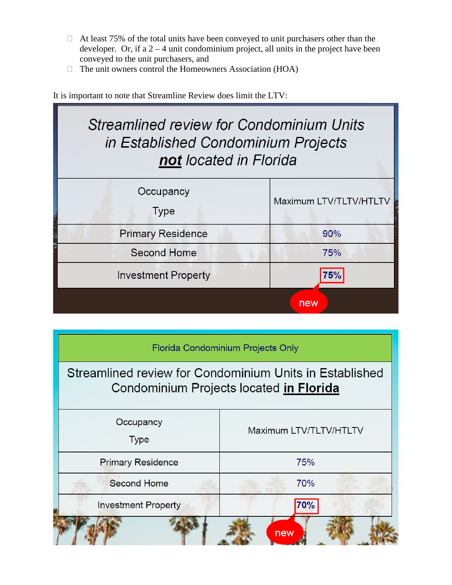- $\Box$  At least 75% of the total units have been conveyed to unit purchasers other than the developer. Or, if a  $2 - 4$  unit condominium project, all units in the project have been conveyed to the unit purchasers, and
- $\Box$  The unit owners control the Homeowners Association (HOA)

It is important to note that Streamline Review does limit the LTV:

# **Streamlined review for Condominium Units** in Established Condominium Projects not located in Florida

| Occupancy<br><b>Type</b>   | Maximum LTV/TLTV/HTLTV |
|----------------------------|------------------------|
| <b>Primary Residence</b>   | 90%                    |
| <b>Second Home</b>         | 75%                    |
| <b>Investment Property</b> | 75%                    |
|                            | new                    |

# Florida Condominium Projects Only Streamlined review for Condominium Units in Established Condominium Projects located in Florida Occupancy Maximum LTV/TLTV/HTLTV **Type Primary Residence** 75% 70% **Second Home Investment Property 70%** new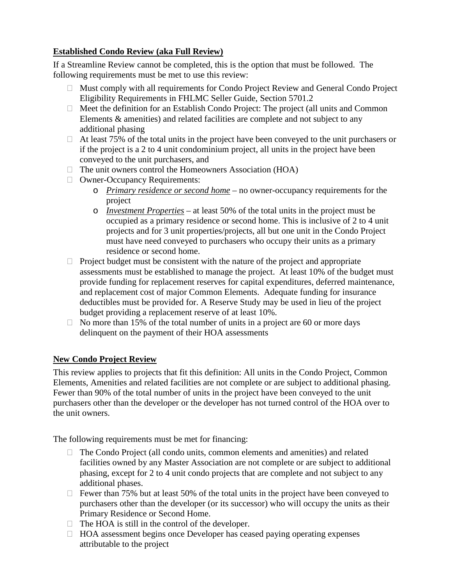### **Established Condo Review (aka Full Review)**

If a Streamline Review cannot be completed, this is the option that must be followed. The following requirements must be met to use this review:

- Must comply with all requirements for Condo Project Review and General Condo Project Eligibility Requirements in FHLMC Seller Guide, Section 5701.2
- $\Box$  Meet the definition for an Establish Condo Project: The project (all units and Common Elements & amenities) and related facilities are complete and not subject to any additional phasing
- $\Box$  At least 75% of the total units in the project have been conveyed to the unit purchasers or if the project is a 2 to 4 unit condominium project, all units in the project have been conveyed to the unit purchasers, and
- $\Box$  The unit owners control the Homeowners Association (HOA)
- □ Owner-Occupancy Requirements:
	- o *Primary residence or second home* no owner-occupancy requirements for the project
	- o *Investment Properties* at least 50% of the total units in the project must be occupied as a primary residence or second home. This is inclusive of 2 to 4 unit projects and for 3 unit properties/projects, all but one unit in the Condo Project must have need conveyed to purchasers who occupy their units as a primary residence or second home.
- $\Box$  Project budget must be consistent with the nature of the project and appropriate assessments must be established to manage the project. At least 10% of the budget must provide funding for replacement reserves for capital expenditures, deferred maintenance, and replacement cost of major Common Elements. Adequate funding for insurance deductibles must be provided for. A Reserve Study may be used in lieu of the project budget providing a replacement reserve of at least 10%.
- $\Box$  No more than 15% of the total number of units in a project are 60 or more days delinquent on the payment of their HOA assessments

### **New Condo Project Review**

This review applies to projects that fit this definition: All units in the Condo Project, Common Elements, Amenities and related facilities are not complete or are subject to additional phasing. Fewer than 90% of the total number of units in the project have been conveyed to the unit purchasers other than the developer or the developer has not turned control of the HOA over to the unit owners.

The following requirements must be met for financing:

- $\Box$  The Condo Project (all condo units, common elements and amenities) and related facilities owned by any Master Association are not complete or are subject to additional phasing, except for 2 to 4 unit condo projects that are complete and not subject to any additional phases.
- $\Box$  Fewer than 75% but at least 50% of the total units in the project have been conveyed to purchasers other than the developer (or its successor) who will occupy the units as their Primary Residence or Second Home.
- $\Box$  The HOA is still in the control of the developer.
- $\Box$  HOA assessment begins once Developer has ceased paying operating expenses attributable to the project